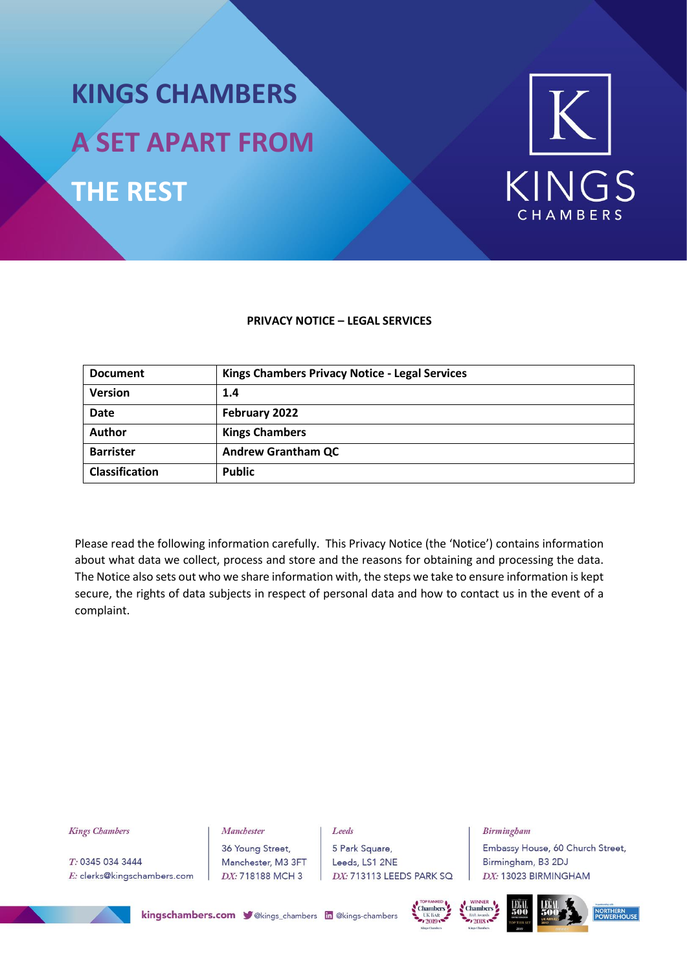# **KINGS CHAMBERS A SET APART FROM THE REST**



#### **PRIVACY NOTICE – LEGAL SERVICES**

| <b>Document</b>       | <b>Kings Chambers Privacy Notice - Legal Services</b> |
|-----------------------|-------------------------------------------------------|
| <b>Version</b>        | 1.4                                                   |
| <b>Date</b>           | February 2022                                         |
| Author                | <b>Kings Chambers</b>                                 |
| <b>Barrister</b>      | <b>Andrew Grantham QC</b>                             |
| <b>Classification</b> | <b>Public</b>                                         |

Please read the following information carefully. This Privacy Notice (the 'Notice') contains information about what data we collect, process and store and the reasons for obtaining and processing the data. The Notice also sets out who we share information with, the steps we take to ensure information is kept secure, the rights of data subjects in respect of personal data and how to contact us in the event of a complaint.

#### **Kings Chambers**

T: 0345 034 3444 E: clerks@kingschambers.com 36 Young Street, Manchester, M3 3FT DX: 718188 MCH 3

Manchester

Leeds 5 Park Square, Leeds, LS1 2NE DX: 713113 LEEDS PARK SQ

#### **Birmingham**

Embassy House, 60 Church Street, Birmingham, B3 2DJ DX: 13023 BIRMINGHAM









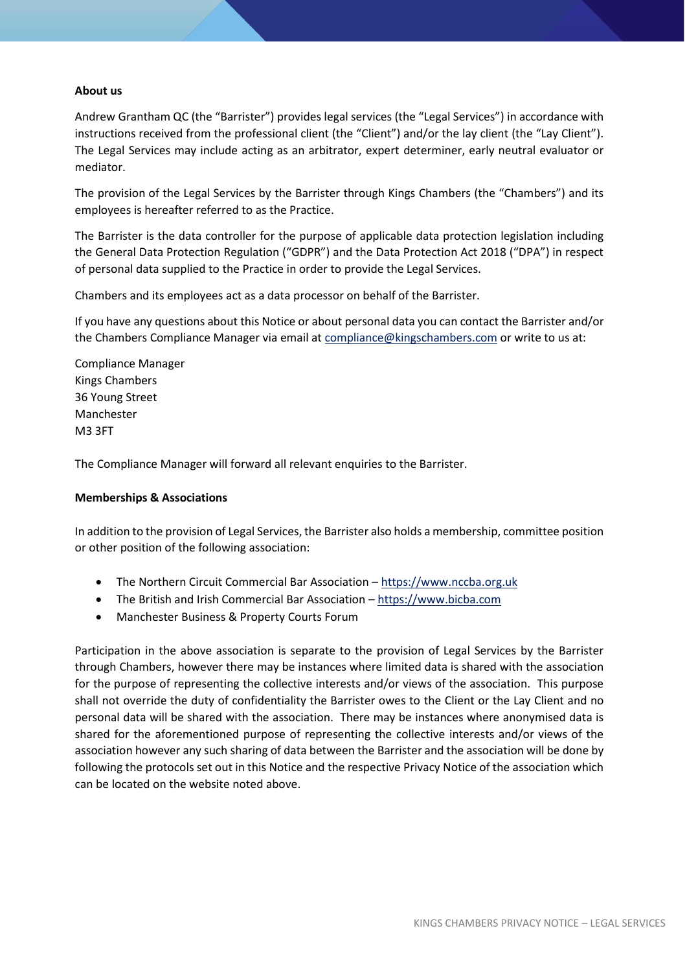#### **About us**

Andrew Grantham QC (the "Barrister") provides legal services (the "Legal Services") in accordance with instructions received from the professional client (the "Client") and/or the lay client (the "Lay Client"). The Legal Services may include acting as an arbitrator, expert determiner, early neutral evaluator or mediator.

The provision of the Legal Services by the Barrister through Kings Chambers (the "Chambers") and its employees is hereafter referred to as the Practice.

The Barrister is the data controller for the purpose of applicable data protection legislation including the General Data Protection Regulation ("GDPR") and the Data Protection Act 2018 ("DPA") in respect of personal data supplied to the Practice in order to provide the Legal Services.

Chambers and its employees act as a data processor on behalf of the Barrister.

If you have any questions about this Notice or about personal data you can contact the Barrister and/or the Chambers Compliance Manager via email at [compliance@kingschambers.com](mailto:compliance@kingschambers.com) or write to us at:

Compliance Manager Kings Chambers 36 Young Street Manchester M3 3FT

The Compliance Manager will forward all relevant enquiries to the Barrister.

#### **Memberships & Associations**

In addition to the provision of Legal Services, the Barrister also holds a membership, committee position or other position of the following association:

- The Northern Circuit Commercial Bar Association [https://www.nccba.org.uk](https://www.nccba.org.uk/)
- The British and Irish Commercial Bar Association [https://www.bicba.com](https://www.bicba.com/)
- Manchester Business & Property Courts Forum

Participation in the above association is separate to the provision of Legal Services by the Barrister through Chambers, however there may be instances where limited data is shared with the association for the purpose of representing the collective interests and/or views of the association. This purpose shall not override the duty of confidentiality the Barrister owes to the Client or the Lay Client and no personal data will be shared with the association. There may be instances where anonymised data is shared for the aforementioned purpose of representing the collective interests and/or views of the association however any such sharing of data between the Barrister and the association will be done by following the protocols set out in this Notice and the respective Privacy Notice of the association which can be located on the website noted above.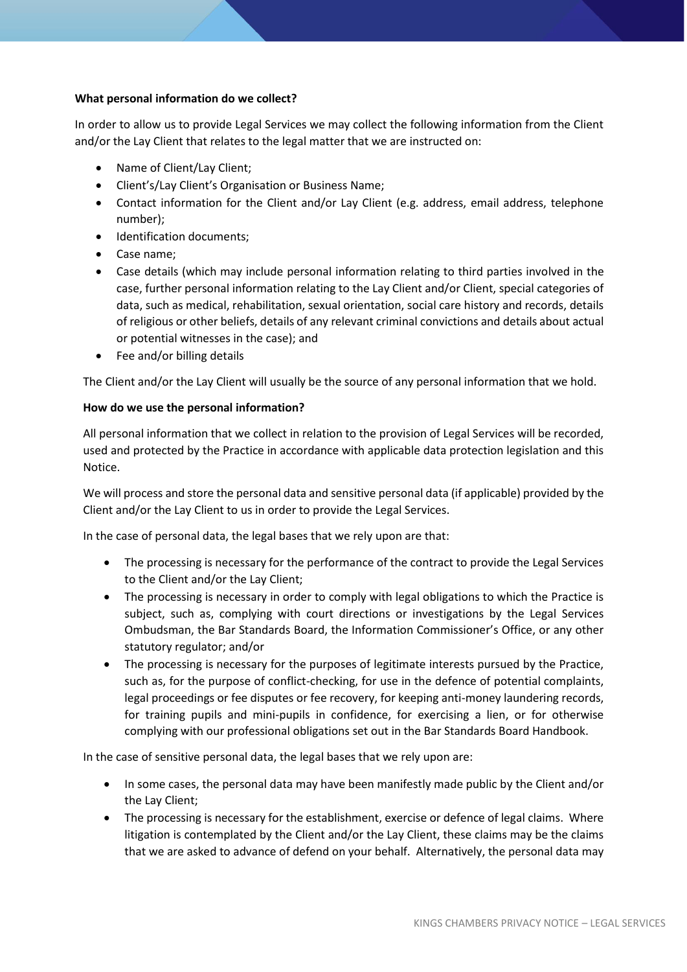## **What personal information do we collect?**

In order to allow us to provide Legal Services we may collect the following information from the Client and/or the Lay Client that relates to the legal matter that we are instructed on:

- Name of Client/Lay Client;
- Client's/Lay Client's Organisation or Business Name;
- Contact information for the Client and/or Lay Client (e.g. address, email address, telephone number);
- Identification documents:
- Case name;
- Case details (which may include personal information relating to third parties involved in the case, further personal information relating to the Lay Client and/or Client, special categories of data, such as medical, rehabilitation, sexual orientation, social care history and records, details of religious or other beliefs, details of any relevant criminal convictions and details about actual or potential witnesses in the case); and
- Fee and/or billing details

The Client and/or the Lay Client will usually be the source of any personal information that we hold.

# **How do we use the personal information?**

All personal information that we collect in relation to the provision of Legal Services will be recorded, used and protected by the Practice in accordance with applicable data protection legislation and this Notice.

We will process and store the personal data and sensitive personal data (if applicable) provided by the Client and/or the Lay Client to us in order to provide the Legal Services.

In the case of personal data, the legal bases that we rely upon are that:

- The processing is necessary for the performance of the contract to provide the Legal Services to the Client and/or the Lay Client;
- The processing is necessary in order to comply with legal obligations to which the Practice is subject, such as, complying with court directions or investigations by the Legal Services Ombudsman, the Bar Standards Board, the Information Commissioner's Office, or any other statutory regulator; and/or
- The processing is necessary for the purposes of legitimate interests pursued by the Practice, such as, for the purpose of conflict-checking, for use in the defence of potential complaints, legal proceedings or fee disputes or fee recovery, for keeping anti-money laundering records, for training pupils and mini-pupils in confidence, for exercising a lien, or for otherwise complying with our professional obligations set out in the Bar Standards Board Handbook.

In the case of sensitive personal data, the legal bases that we rely upon are:

- In some cases, the personal data may have been manifestly made public by the Client and/or the Lay Client;
- The processing is necessary for the establishment, exercise or defence of legal claims. Where litigation is contemplated by the Client and/or the Lay Client, these claims may be the claims that we are asked to advance of defend on your behalf. Alternatively, the personal data may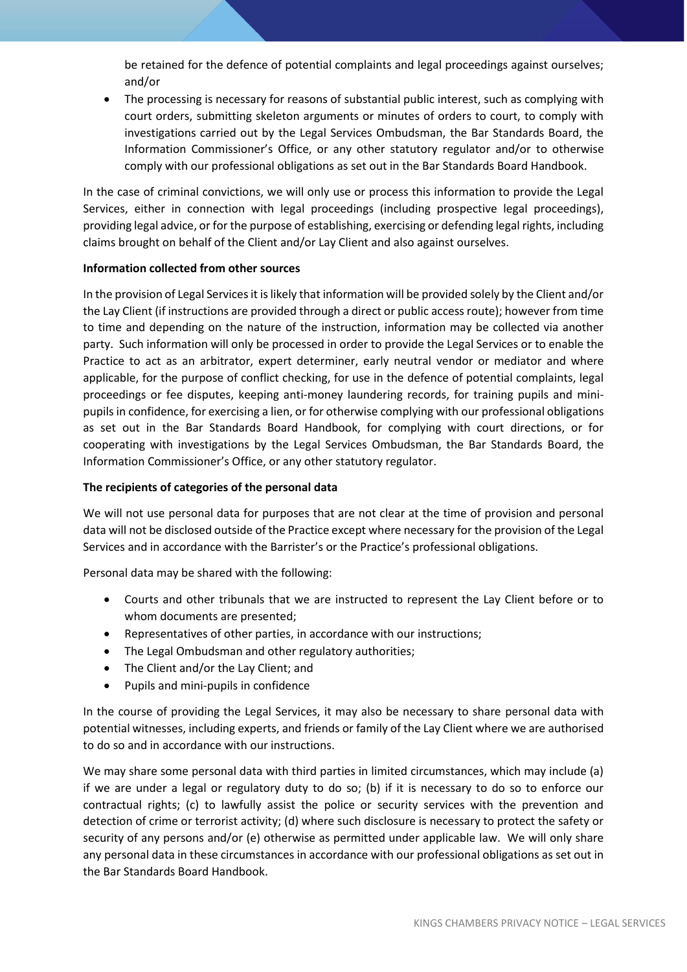be retained for the defence of potential complaints and legal proceedings against ourselves; and/or

• The processing is necessary for reasons of substantial public interest, such as complying with court orders, submitting skeleton arguments or minutes of orders to court, to comply with investigations carried out by the Legal Services Ombudsman, the Bar Standards Board, the Information Commissioner's Office, or any other statutory regulator and/or to otherwise comply with our professional obligations as set out in the Bar Standards Board Handbook.

In the case of criminal convictions, we will only use or process this information to provide the Legal Services, either in connection with legal proceedings (including prospective legal proceedings), providing legal advice, or for the purpose of establishing, exercising or defending legal rights, including claims brought on behalf of the Client and/or Lay Client and also against ourselves.

#### **Information collected from other sources**

In the provision of Legal Services it is likely that information will be provided solely by the Client and/or the Lay Client (if instructions are provided through a direct or public access route); however from time to time and depending on the nature of the instruction, information may be collected via another party. Such information will only be processed in order to provide the Legal Services or to enable the Practice to act as an arbitrator, expert determiner, early neutral vendor or mediator and where applicable, for the purpose of conflict checking, for use in the defence of potential complaints, legal proceedings or fee disputes, keeping anti-money laundering records, for training pupils and minipupils in confidence, for exercising a lien, or for otherwise complying with our professional obligations as set out in the Bar Standards Board Handbook, for complying with court directions, or for cooperating with investigations by the Legal Services Ombudsman, the Bar Standards Board, the Information Commissioner's Office, or any other statutory regulator.

#### **The recipients of categories of the personal data**

We will not use personal data for purposes that are not clear at the time of provision and personal data will not be disclosed outside of the Practice except where necessary for the provision of the Legal Services and in accordance with the Barrister's or the Practice's professional obligations.

Personal data may be shared with the following:

- Courts and other tribunals that we are instructed to represent the Lay Client before or to whom documents are presented;
- Representatives of other parties, in accordance with our instructions;
- The Legal Ombudsman and other regulatory authorities;
- The Client and/or the Lay Client; and
- Pupils and mini-pupils in confidence

In the course of providing the Legal Services, it may also be necessary to share personal data with potential witnesses, including experts, and friends or family of the Lay Client where we are authorised to do so and in accordance with our instructions.

We may share some personal data with third parties in limited circumstances, which may include (a) if we are under a legal or regulatory duty to do so; (b) if it is necessary to do so to enforce our contractual rights; (c) to lawfully assist the police or security services with the prevention and detection of crime or terrorist activity; (d) where such disclosure is necessary to protect the safety or security of any persons and/or (e) otherwise as permitted under applicable law. We will only share any personal data in these circumstances in accordance with our professional obligations as set out in the Bar Standards Board Handbook.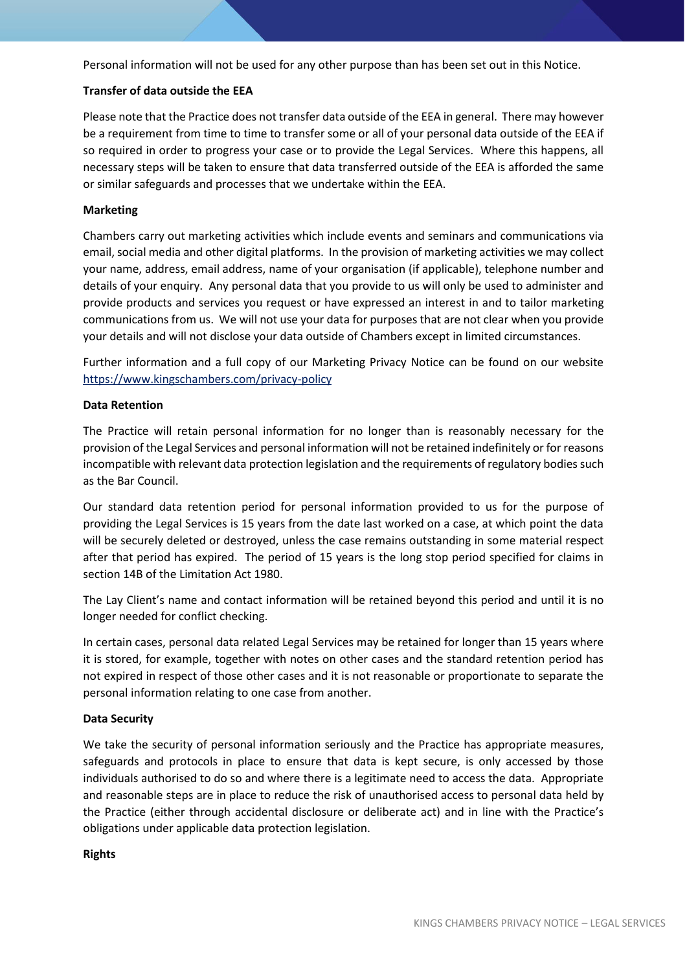Personal information will not be used for any other purpose than has been set out in this Notice.

# **Transfer of data outside the EEA**

Please note that the Practice does not transfer data outside of the EEA in general. There may however be a requirement from time to time to transfer some or all of your personal data outside of the EEA if so required in order to progress your case or to provide the Legal Services. Where this happens, all necessary steps will be taken to ensure that data transferred outside of the EEA is afforded the same or similar safeguards and processes that we undertake within the EEA.

#### **Marketing**

Chambers carry out marketing activities which include events and seminars and communications via email, social media and other digital platforms. In the provision of marketing activities we may collect your name, address, email address, name of your organisation (if applicable), telephone number and details of your enquiry. Any personal data that you provide to us will only be used to administer and provide products and services you request or have expressed an interest in and to tailor marketing communications from us. We will not use your data for purposes that are not clear when you provide your details and will not disclose your data outside of Chambers except in limited circumstances.

Further information and a full copy of our Marketing Privacy Notice can be found on our website <https://www.kingschambers.com/privacy-policy>

# **Data Retention**

The Practice will retain personal information for no longer than is reasonably necessary for the provision of the Legal Services and personal information will not be retained indefinitely or for reasons incompatible with relevant data protection legislation and the requirements of regulatory bodies such as the Bar Council.

Our standard data retention period for personal information provided to us for the purpose of providing the Legal Services is 15 years from the date last worked on a case, at which point the data will be securely deleted or destroyed, unless the case remains outstanding in some material respect after that period has expired. The period of 15 years is the long stop period specified for claims in section 14B of the Limitation Act 1980.

The Lay Client's name and contact information will be retained beyond this period and until it is no longer needed for conflict checking.

In certain cases, personal data related Legal Services may be retained for longer than 15 years where it is stored, for example, together with notes on other cases and the standard retention period has not expired in respect of those other cases and it is not reasonable or proportionate to separate the personal information relating to one case from another.

#### **Data Security**

We take the security of personal information seriously and the Practice has appropriate measures, safeguards and protocols in place to ensure that data is kept secure, is only accessed by those individuals authorised to do so and where there is a legitimate need to access the data. Appropriate and reasonable steps are in place to reduce the risk of unauthorised access to personal data held by the Practice (either through accidental disclosure or deliberate act) and in line with the Practice's obligations under applicable data protection legislation.

#### **Rights**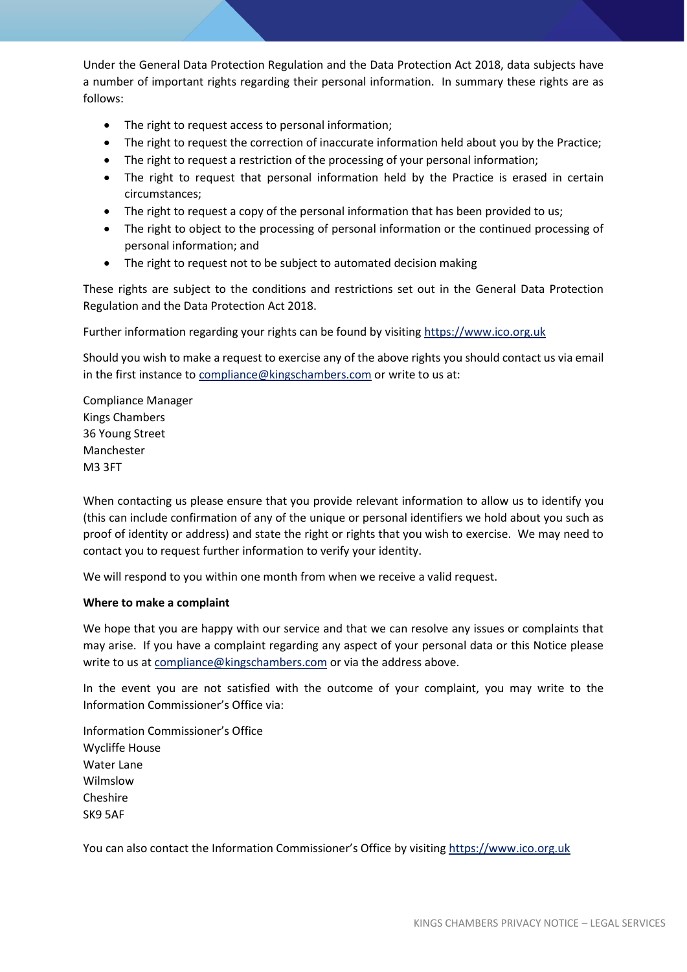Under the General Data Protection Regulation and the Data Protection Act 2018, data subjects have a number of important rights regarding their personal information. In summary these rights are as follows:

- The right to request access to personal information;
- The right to request the correction of inaccurate information held about you by the Practice;
- The right to request a restriction of the processing of your personal information;
- The right to request that personal information held by the Practice is erased in certain circumstances;
- The right to request a copy of the personal information that has been provided to us;
- The right to object to the processing of personal information or the continued processing of personal information; and
- The right to request not to be subject to automated decision making

These rights are subject to the conditions and restrictions set out in the General Data Protection Regulation and the Data Protection Act 2018.

Further information regarding your rights can be found by visitin[g https://www.ico.org.uk](https://www.ico.org.uk/)

Should you wish to make a request to exercise any of the above rights you should contact us via email in the first instance to [compliance@kingschambers.com](mailto:compliance@kingschambers.com) or write to us at:

Compliance Manager Kings Chambers 36 Young Street Manchester M3 3FT

When contacting us please ensure that you provide relevant information to allow us to identify you (this can include confirmation of any of the unique or personal identifiers we hold about you such as proof of identity or address) and state the right or rights that you wish to exercise. We may need to contact you to request further information to verify your identity.

We will respond to you within one month from when we receive a valid request.

#### **Where to make a complaint**

We hope that you are happy with our service and that we can resolve any issues or complaints that may arise. If you have a complaint regarding any aspect of your personal data or this Notice please write to us at [compliance@kingschambers.com](mailto:compliance@kingschambers.com) or via the address above.

In the event you are not satisfied with the outcome of your complaint, you may write to the Information Commissioner's Office via:

Information Commissioner's Office Wycliffe House Water Lane Wilmslow Cheshire SK9 5AF

You can also contact the Information Commissioner's Office by visiting [https://www.ico.org.uk](https://www.ico.org.uk/)